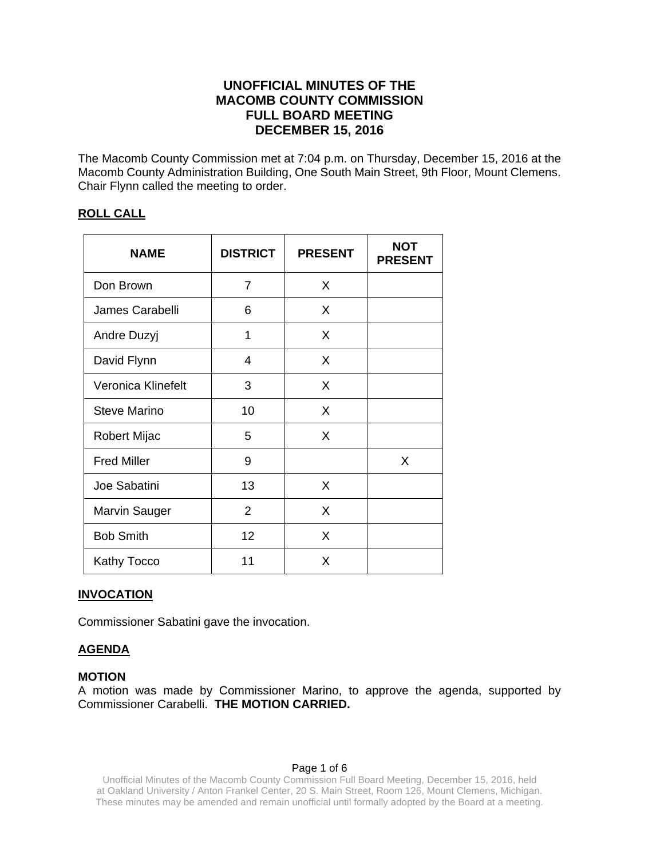# **UNOFFICIAL MINUTES OF THE MACOMB COUNTY COMMISSION FULL BOARD MEETING DECEMBER 15, 2016**

The Macomb County Commission met at 7:04 p.m. on Thursday, December 15, 2016 at the Macomb County Administration Building, One South Main Street, 9th Floor, Mount Clemens. Chair Flynn called the meeting to order.

# **ROLL CALL**

| <b>NAME</b>          | <b>DISTRICT</b> | <b>PRESENT</b> | <b>NOT</b><br><b>PRESENT</b> |
|----------------------|-----------------|----------------|------------------------------|
| Don Brown            | 7               | X              |                              |
| James Carabelli      | 6               | X              |                              |
| Andre Duzyj          | 1               | X              |                              |
| David Flynn          | 4               | X              |                              |
| Veronica Klinefelt   | 3               | X              |                              |
| <b>Steve Marino</b>  | 10              | X              |                              |
| <b>Robert Mijac</b>  | 5               | X              |                              |
| <b>Fred Miller</b>   | 9               |                | X                            |
| Joe Sabatini         | 13              | X              |                              |
| <b>Marvin Sauger</b> | $\overline{2}$  | X              |                              |
| <b>Bob Smith</b>     | 12              | X              |                              |
| Kathy Tocco          | 11              | X              |                              |

# **INVOCATION**

Commissioner Sabatini gave the invocation.

# **AGENDA**

### **MOTION**

A motion was made by Commissioner Marino, to approve the agenda, supported by Commissioner Carabelli. **THE MOTION CARRIED.** 

### Page 1 of 6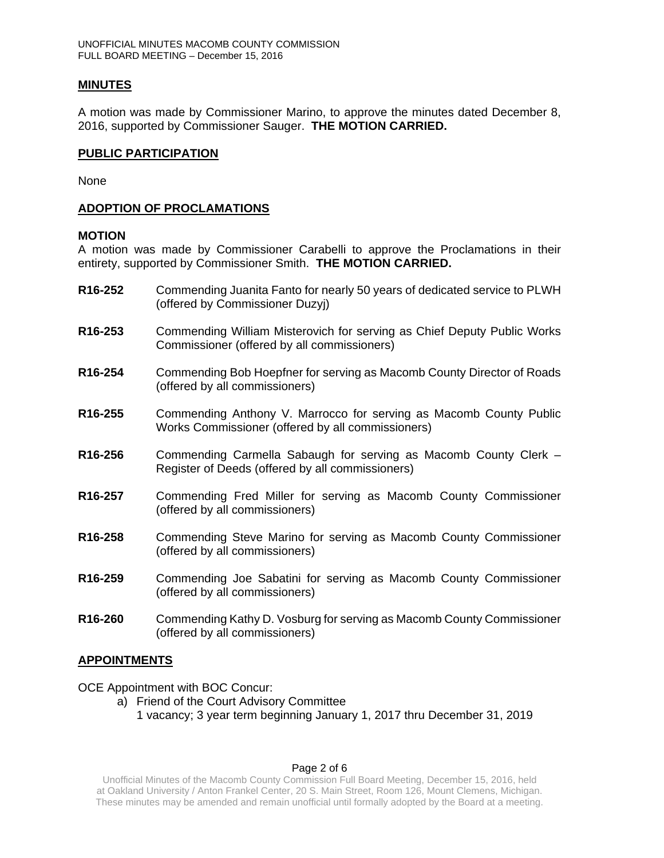### **MINUTES**

A motion was made by Commissioner Marino, to approve the minutes dated December 8, 2016, supported by Commissioner Sauger. **THE MOTION CARRIED.** 

### **PUBLIC PARTICIPATION**

None

## **ADOPTION OF PROCLAMATIONS**

### **MOTION**

A motion was made by Commissioner Carabelli to approve the Proclamations in their entirety, supported by Commissioner Smith. **THE MOTION CARRIED.** 

- **R16-252** Commending Juanita Fanto for nearly 50 years of dedicated service to PLWH (offered by Commissioner Duzyj)
- **R16-253** Commending William Misterovich for serving as Chief Deputy Public Works Commissioner (offered by all commissioners)
- **R16-254** Commending Bob Hoepfner for serving as Macomb County Director of Roads (offered by all commissioners)
- **R16-255** Commending Anthony V. Marrocco for serving as Macomb County Public Works Commissioner (offered by all commissioners)
- **R16-256** Commending Carmella Sabaugh for serving as Macomb County Clerk Register of Deeds (offered by all commissioners)
- **R16-257** Commending Fred Miller for serving as Macomb County Commissioner (offered by all commissioners)
- **R16-258** Commending Steve Marino for serving as Macomb County Commissioner (offered by all commissioners)
- **R16-259** Commending Joe Sabatini for serving as Macomb County Commissioner (offered by all commissioners)
- **R16-260** Commending Kathy D. Vosburg for serving as Macomb County Commissioner (offered by all commissioners)

# **APPOINTMENTS**

OCE Appointment with BOC Concur:

- a) Friend of the Court Advisory Committee
	- 1 vacancy; 3 year term beginning January 1, 2017 thru December 31, 2019

# Page 2 of 6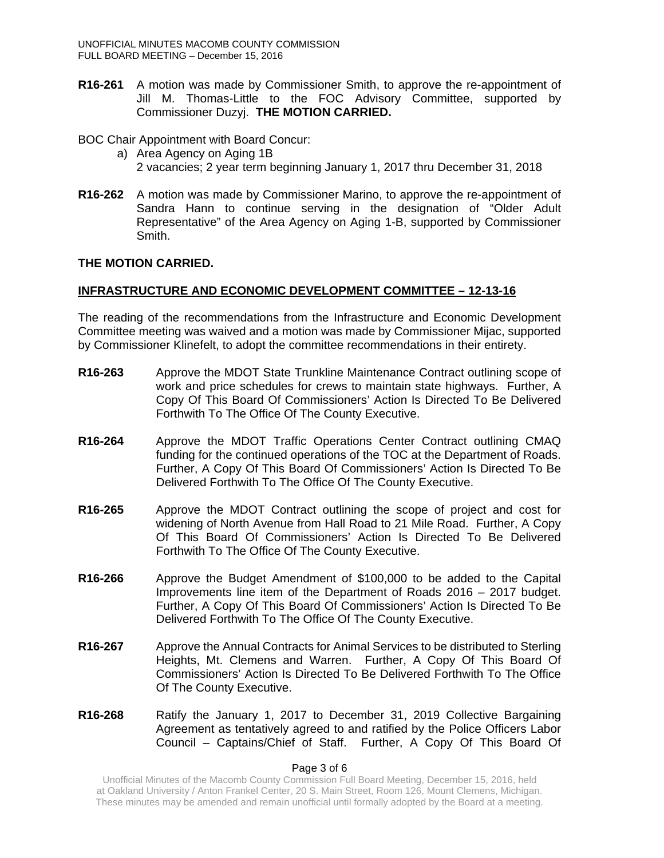- **R16-261** A motion was made by Commissioner Smith, to approve the re-appointment of Jill M. Thomas-Little to the FOC Advisory Committee, supported by Commissioner Duzyj. **THE MOTION CARRIED.**
- BOC Chair Appointment with Board Concur:
	- a) Area Agency on Aging 1B 2 vacancies; 2 year term beginning January 1, 2017 thru December 31, 2018
- **R16-262** A motion was made by Commissioner Marino, to approve the re-appointment of Sandra Hann to continue serving in the designation of "Older Adult Representative" of the Area Agency on Aging 1-B, supported by Commissioner Smith.

### **THE MOTION CARRIED.**

## **INFRASTRUCTURE AND ECONOMIC DEVELOPMENT COMMITTEE – 12-13-16**

The reading of the recommendations from the Infrastructure and Economic Development Committee meeting was waived and a motion was made by Commissioner Mijac, supported by Commissioner Klinefelt, to adopt the committee recommendations in their entirety.

- **R16-263** Approve the MDOT State Trunkline Maintenance Contract outlining scope of work and price schedules for crews to maintain state highways. Further, A Copy Of This Board Of Commissioners' Action Is Directed To Be Delivered Forthwith To The Office Of The County Executive.
- **R16-264** Approve the MDOT Traffic Operations Center Contract outlining CMAQ funding for the continued operations of the TOC at the Department of Roads. Further, A Copy Of This Board Of Commissioners' Action Is Directed To Be Delivered Forthwith To The Office Of The County Executive.
- **R16-265** Approve the MDOT Contract outlining the scope of project and cost for widening of North Avenue from Hall Road to 21 Mile Road. Further, A Copy Of This Board Of Commissioners' Action Is Directed To Be Delivered Forthwith To The Office Of The County Executive.
- **R16-266** Approve the Budget Amendment of \$100,000 to be added to the Capital Improvements line item of the Department of Roads 2016 – 2017 budget. Further, A Copy Of This Board Of Commissioners' Action Is Directed To Be Delivered Forthwith To The Office Of The County Executive.
- **R16-267** Approve the Annual Contracts for Animal Services to be distributed to Sterling Heights, Mt. Clemens and Warren. Further, A Copy Of This Board Of Commissioners' Action Is Directed To Be Delivered Forthwith To The Office Of The County Executive.
- **R16-268** Ratify the January 1, 2017 to December 31, 2019 Collective Bargaining Agreement as tentatively agreed to and ratified by the Police Officers Labor Council – Captains/Chief of Staff. Further, A Copy Of This Board Of

### Page 3 of 6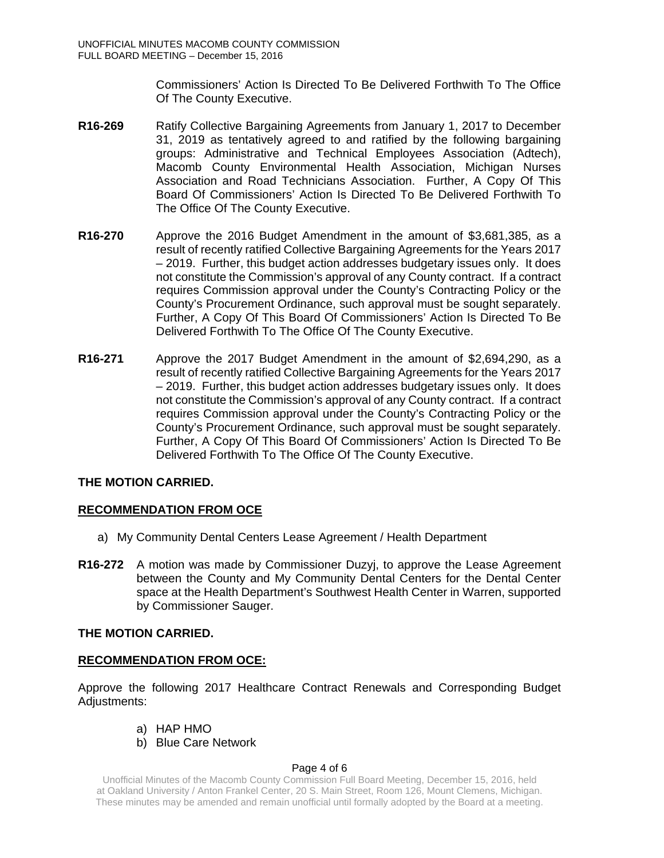Commissioners' Action Is Directed To Be Delivered Forthwith To The Office Of The County Executive.

- **R16-269** Ratify Collective Bargaining Agreements from January 1, 2017 to December 31, 2019 as tentatively agreed to and ratified by the following bargaining groups: Administrative and Technical Employees Association (Adtech), Macomb County Environmental Health Association, Michigan Nurses Association and Road Technicians Association. Further, A Copy Of This Board Of Commissioners' Action Is Directed To Be Delivered Forthwith To The Office Of The County Executive.
- **R16-270** Approve the 2016 Budget Amendment in the amount of \$3,681,385, as a result of recently ratified Collective Bargaining Agreements for the Years 2017 – 2019. Further, this budget action addresses budgetary issues only. It does not constitute the Commission's approval of any County contract. If a contract requires Commission approval under the County's Contracting Policy or the County's Procurement Ordinance, such approval must be sought separately. Further, A Copy Of This Board Of Commissioners' Action Is Directed To Be Delivered Forthwith To The Office Of The County Executive.
- **R16-271** Approve the 2017 Budget Amendment in the amount of \$2,694,290, as a result of recently ratified Collective Bargaining Agreements for the Years 2017 – 2019. Further, this budget action addresses budgetary issues only. It does not constitute the Commission's approval of any County contract. If a contract requires Commission approval under the County's Contracting Policy or the County's Procurement Ordinance, such approval must be sought separately. Further, A Copy Of This Board Of Commissioners' Action Is Directed To Be Delivered Forthwith To The Office Of The County Executive.

# **THE MOTION CARRIED.**

# **RECOMMENDATION FROM OCE**

- a) My Community Dental Centers Lease Agreement / Health Department
- **R16-272** A motion was made by Commissioner Duzyj, to approve the Lease Agreement between the County and My Community Dental Centers for the Dental Center space at the Health Department's Southwest Health Center in Warren, supported by Commissioner Sauger.

# **THE MOTION CARRIED.**

# **RECOMMENDATION FROM OCE:**

Approve the following 2017 Healthcare Contract Renewals and Corresponding Budget Adjustments:

- a) HAP HMO
- b) Blue Care Network

### Page 4 of 6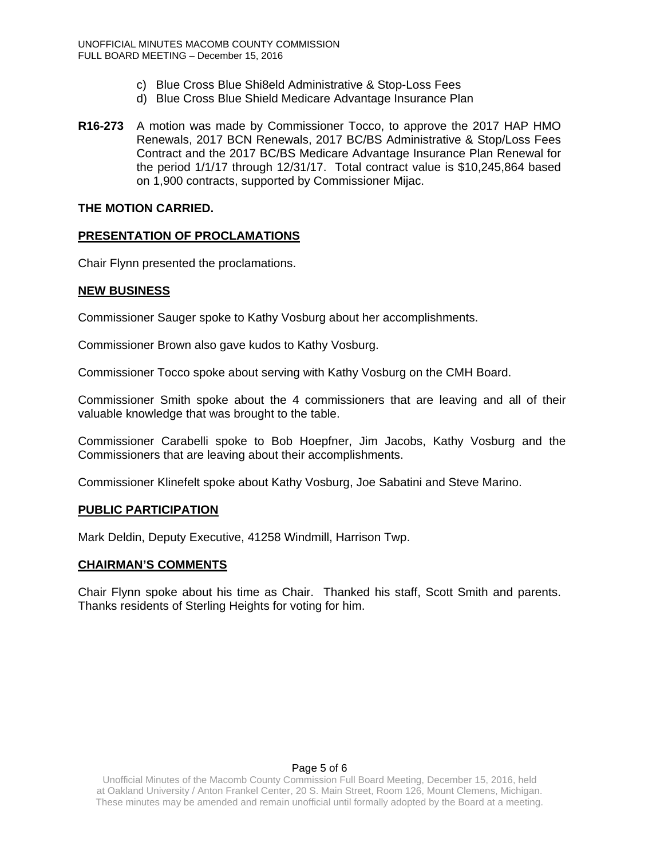- c) Blue Cross Blue Shi8eld Administrative & Stop-Loss Fees
- d) Blue Cross Blue Shield Medicare Advantage Insurance Plan
- **R16-273** A motion was made by Commissioner Tocco, to approve the 2017 HAP HMO Renewals, 2017 BCN Renewals, 2017 BC/BS Administrative & Stop/Loss Fees Contract and the 2017 BC/BS Medicare Advantage Insurance Plan Renewal for the period 1/1/17 through 12/31/17. Total contract value is \$10,245,864 based on 1,900 contracts, supported by Commissioner Mijac.

## **THE MOTION CARRIED.**

## **PRESENTATION OF PROCLAMATIONS**

Chair Flynn presented the proclamations.

## **NEW BUSINESS**

Commissioner Sauger spoke to Kathy Vosburg about her accomplishments.

Commissioner Brown also gave kudos to Kathy Vosburg.

Commissioner Tocco spoke about serving with Kathy Vosburg on the CMH Board.

Commissioner Smith spoke about the 4 commissioners that are leaving and all of their valuable knowledge that was brought to the table.

Commissioner Carabelli spoke to Bob Hoepfner, Jim Jacobs, Kathy Vosburg and the Commissioners that are leaving about their accomplishments.

Commissioner Klinefelt spoke about Kathy Vosburg, Joe Sabatini and Steve Marino.

# **PUBLIC PARTICIPATION**

Mark Deldin, Deputy Executive, 41258 Windmill, Harrison Twp.

### **CHAIRMAN'S COMMENTS**

Chair Flynn spoke about his time as Chair. Thanked his staff, Scott Smith and parents. Thanks residents of Sterling Heights for voting for him.

### Page 5 of 6

Unofficial Minutes of the Macomb County Commission Full Board Meeting, December 15, 2016, held at Oakland University / Anton Frankel Center, 20 S. Main Street, Room 126, Mount Clemens, Michigan. These minutes may be amended and remain unofficial until formally adopted by the Board at a meeting.